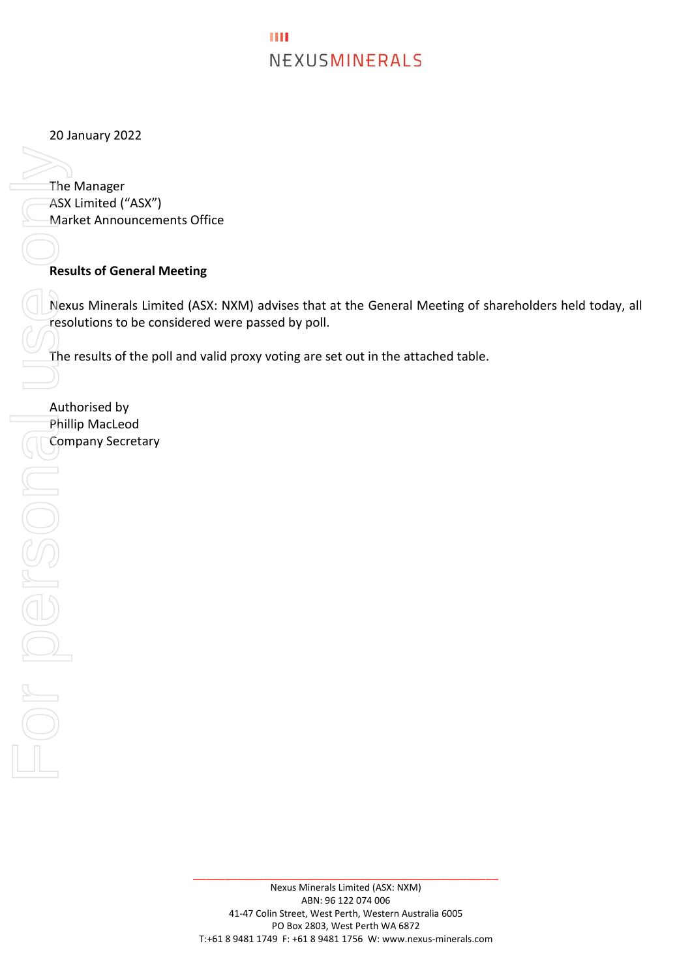## ш NEXUSMINERALS

20 January 2022

The Manager ASX Limited ("ASX") Market Announcements Office

## **Results of General Meeting**

Nexus Minerals Limited (ASX: NXM) advises that at the General Meeting of shareholders held today, all resolutions to be considered were passed by poll.

The results of the poll and valid proxy voting are set out in the attached table.

Authorised by Phillip MacLeod

\_\_\_\_\_\_\_\_\_\_\_\_\_\_\_\_\_\_\_\_\_\_\_\_\_\_\_\_\_\_\_\_\_\_\_\_\_\_\_\_\_\_\_\_\_\_\_\_

Company Secretary<br>
Company Secretary<br>
Company Secretary<br>
Company Secretary<br>
Company Secretary<br>
Company Secretary<br>
Company Secretary<br>
Company Secretary<br>
Company Secretary<br>
Company Secretary<br>
Company Secretary<br>
Company Secre